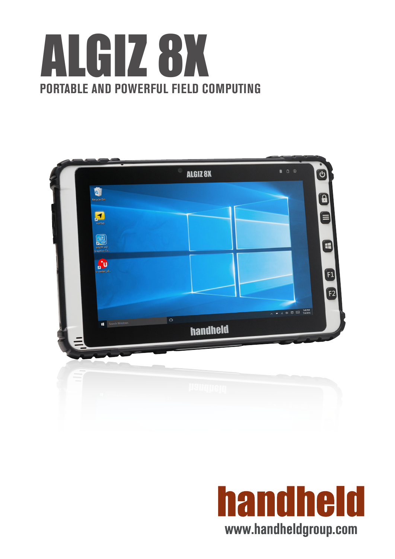